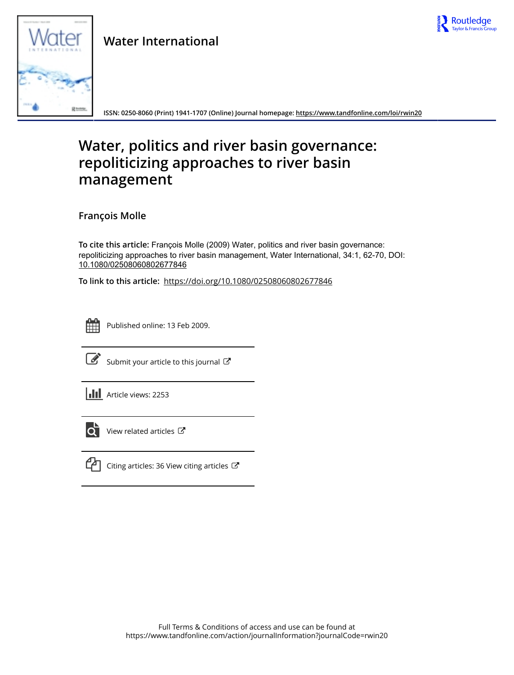

# **Water International**



**ISSN: 0250-8060 (Print) 1941-1707 (Online) Journal homepage:<https://www.tandfonline.com/loi/rwin20>**

## **Water, politics and river basin governance: repoliticizing approaches to river basin management**

**François Molle**

**To cite this article:** François Molle (2009) Water, politics and river basin governance: repoliticizing approaches to river basin management, Water International, 34:1, 62-70, DOI: [10.1080/02508060802677846](https://www.tandfonline.com/action/showCitFormats?doi=10.1080/02508060802677846)

**To link to this article:** <https://doi.org/10.1080/02508060802677846>



Published online: 13 Feb 2009.



 $\overrightarrow{S}$  [Submit your article to this journal](https://www.tandfonline.com/action/authorSubmission?journalCode=rwin20&show=instructions)  $\overrightarrow{S}$ 





 $\overline{\mathbf{C}}$  [View related articles](https://www.tandfonline.com/doi/mlt/10.1080/02508060802677846)  $\mathbf{C}$ 



[Citing articles: 36 View citing articles](https://www.tandfonline.com/doi/citedby/10.1080/02508060802677846#tabModule)  $\mathbb{Z}$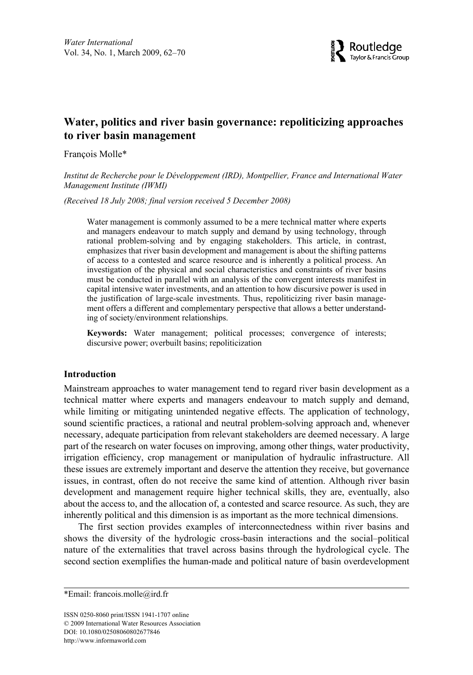

### RWIN 0250-8060 1941-1707Water International, Vol. 34, No. 1, December 2009: pp. 1–22 International **Water, politics and river basin governance: repoliticizing approaches to river basin management**

#### François Molle\*

*Institut de Recherche pour le Développement (IRD), Montpellier, France and International Water Management Institute (IWMI)*

*(Received 18 July 2008; final version received 5 December 2008)*

Water management is commonly assumed to be a mere technical matter where experts and managers endeavour to match supply and demand by using technology, through rational problem-solving and by engaging stakeholders. This article, in contrast, emphasizes that river basin development and management is about the shifting patterns of access to a contested and scarce resource and is inherently a political process. An investigation of the physical and social characteristics and constraints of river basins must be conducted in parallel with an analysis of the convergent interests manifest in capital intensive water investments, and an attention to how discursive power is used in the justification of large-scale investments. Thus, repoliticizing river basin management offers a different and complementary perspective that allows a better understanding of society/environment relationships.

**Keywords:** Water management; political processes; convergence of interests; discursive power; overbuilt basins; repoliticization

#### **Introduction**

Mainstream approaches to water management tend to regard river basin development as a technical matter where experts and managers endeavour to match supply and demand, while limiting or mitigating unintended negative effects. The application of technology, sound scientific practices, a rational and neutral problem-solving approach and, whenever necessary, adequate participation from relevant stakeholders are deemed necessary. A large part of the research on water focuses on improving, among other things, water productivity, irrigation efficiency, crop management or manipulation of hydraulic infrastructure. All these issues are extremely important and deserve the attention they receive, but governance issues, in contrast, often do not receive the same kind of attention. Although river basin development and management require higher technical skills, they are, eventually, also about the access to, and the allocation of, a contested and scarce resource. As such, they are inherently political and this dimension is as important as the more technical dimensions.

The first section provides examples of interconnectedness within river basins and shows the diversity of the hydrologic cross-basin interactions and the social–political nature of the externalities that travel across basins through the hydrological cycle. The second section exemplifies the human-made and political nature of basin overdevelopment

ISSN 0250-8060 print/ISSN 1941-1707 online © 2009 International Water Resources Association DOI: 10.1080/02508060802677846 http://www.informaworld.com

<sup>\*</sup>Email: francois.molle@ird.fr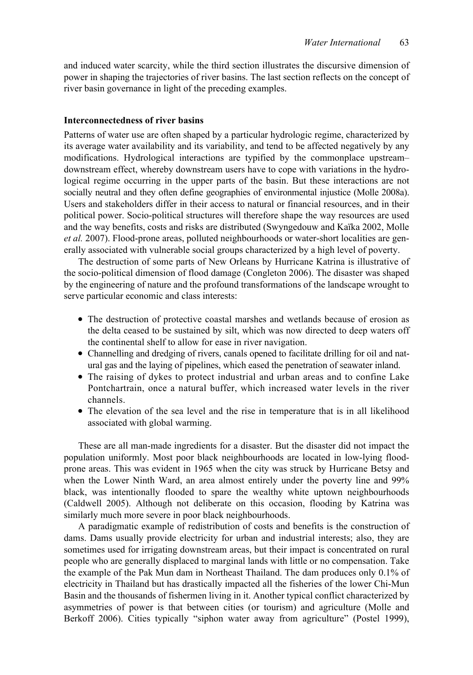and induced water scarcity, while the third section illustrates the discursive dimension of power in shaping the trajectories of river basins. The last section reflects on the concept of river basin governance in light of the preceding examples.

#### **Interconnectedness of river basins**

Patterns of water use are often shaped by a particular hydrologic regime, characterized by its average water availability and its variability, and tend to be affected negatively by any modifications. Hydrological interactions are typified by the commonplace upstream– downstream effect, whereby downstream users have to cope with variations in the hydrological regime occurring in the upper parts of the basin. But these interactions are not socially neutral and they often define geographies of environmental injustice (Molle 2008a). Users and stakeholders differ in their access to natural or financial resources, and in their political power. Socio-political structures will therefore shape the way resources are used and the way benefits, costs and risks are distributed (Swyngedouw and Kaïka 2002, Molle *et al.* 2007). Flood-prone areas, polluted neighbourhoods or water-short localities are generally associated with vulnerable social groups characterized by a high level of poverty.

The destruction of some parts of New Orleans by Hurricane Katrina is illustrative of the socio-political dimension of flood damage (Congleton 2006). The disaster was shaped by the engineering of nature and the profound transformations of the landscape wrought to serve particular economic and class interests:

- The destruction of protective coastal marshes and wetlands because of erosion as the delta ceased to be sustained by silt, which was now directed to deep waters off the continental shelf to allow for ease in river navigation.
- Channelling and dredging of rivers, canals opened to facilitate drilling for oil and natural gas and the laying of pipelines, which eased the penetration of seawater inland.
- The raising of dykes to protect industrial and urban areas and to confine Lake Pontchartrain, once a natural buffer, which increased water levels in the river channels.
- The elevation of the sea level and the rise in temperature that is in all likelihood associated with global warming.

These are all man-made ingredients for a disaster. But the disaster did not impact the population uniformly. Most poor black neighbourhoods are located in low-lying floodprone areas. This was evident in 1965 when the city was struck by Hurricane Betsy and when the Lower Ninth Ward, an area almost entirely under the poverty line and 99% black, was intentionally flooded to spare the wealthy white uptown neighbourhoods (Caldwell 2005). Although not deliberate on this occasion, flooding by Katrina was similarly much more severe in poor black neighbourhoods.

A paradigmatic example of redistribution of costs and benefits is the construction of dams. Dams usually provide electricity for urban and industrial interests; also, they are sometimes used for irrigating downstream areas, but their impact is concentrated on rural people who are generally displaced to marginal lands with little or no compensation. Take the example of the Pak Mun dam in Northeast Thailand. The dam produces only 0.1% of electricity in Thailand but has drastically impacted all the fisheries of the lower Chi-Mun Basin and the thousands of fishermen living in it. Another typical conflict characterized by asymmetries of power is that between cities (or tourism) and agriculture (Molle and Berkoff 2006). Cities typically "siphon water away from agriculture" (Postel 1999),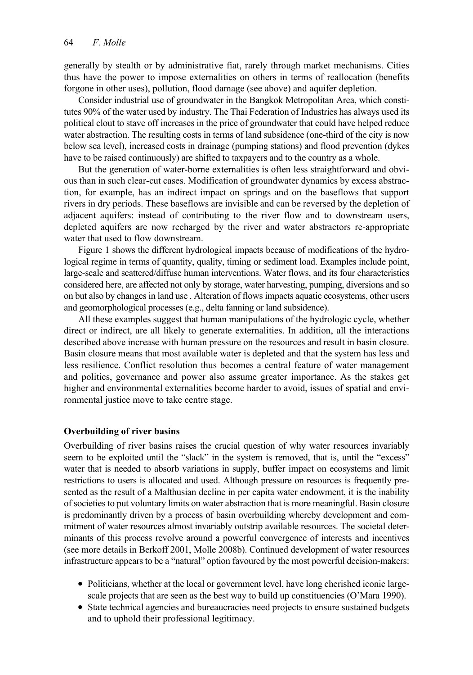generally by stealth or by administrative fiat, rarely through market mechanisms. Cities thus have the power to impose externalities on others in terms of reallocation (benefits forgone in other uses), pollution, flood damage (see above) and aquifer depletion.

Consider industrial use of groundwater in the Bangkok Metropolitan Area, which constitutes 90% of the water used by industry. The Thai Federation of Industries has always used its political clout to stave off increases in the price of groundwater that could have helped reduce water abstraction. The resulting costs in terms of land subsidence (one-third of the city is now below sea level), increased costs in drainage (pumping stations) and flood prevention (dykes have to be raised continuously) are shifted to taxpayers and to the country as a whole.

But the generation of water-borne externalities is often less straightforward and obvious than in such clear-cut cases. Modification of groundwater dynamics by excess abstraction, for example, has an indirect impact on springs and on the baseflows that support rivers in dry periods. These baseflows are invisible and can be reversed by the depletion of adjacent aquifers: instead of contributing to the river flow and to downstream users, depleted aquifers are now recharged by the river and water abstractors re-appropriate water that used to flow downstream.

Figure 1 shows the different hydrological impacts because of modifications of the hydrological regime in terms of quantity, quality, timing or sediment load. Examples include point, large-scale and scattered/diffuse human interventions. Water flows, and its four characteristics considered here, are affected not only by storage, water harvesting, pumping, diversions and so on but also by changes in land use . Alteration of flows impacts aquatic ecosystems, other users and geomorphological processes (e.g., delta fanning or land subsidence).

All these examples suggest that human manipulations of the hydrologic cycle, whether direct or indirect, are all likely to generate externalities. In addition, all the interactions described above increase with human pressure on the resources and result in basin closure. Basin closure means that most available water is depleted and that the system has less and less resilience. Conflict resolution thus becomes a central feature of water management and politics, governance and power also assume greater importance. As the stakes get higher and environmental externalities become harder to avoid, issues of spatial and environmental justice move to take centre stage.

#### **Overbuilding of river basins**

Overbuilding of river basins raises the crucial question of why water resources invariably seem to be exploited until the "slack" in the system is removed, that is, until the "excess" water that is needed to absorb variations in supply, buffer impact on ecosystems and limit restrictions to users is allocated and used. Although pressure on resources is frequently presented as the result of a Malthusian decline in per capita water endowment, it is the inability of societies to put voluntary limits on water abstraction that is more meaningful. Basin closure is predominantly driven by a process of basin overbuilding whereby development and commitment of water resources almost invariably outstrip available resources. The societal determinants of this process revolve around a powerful convergence of interests and incentives (see more details in Berkoff 2001, Molle 2008b). Continued development of water resources infrastructure appears to be a "natural" option favoured by the most powerful decision-makers:

- Politicians, whether at the local or government level, have long cherished iconic largescale projects that are seen as the best way to build up constituencies (O'Mara 1990).
- State technical agencies and bureaucracies need projects to ensure sustained budgets and to uphold their professional legitimacy.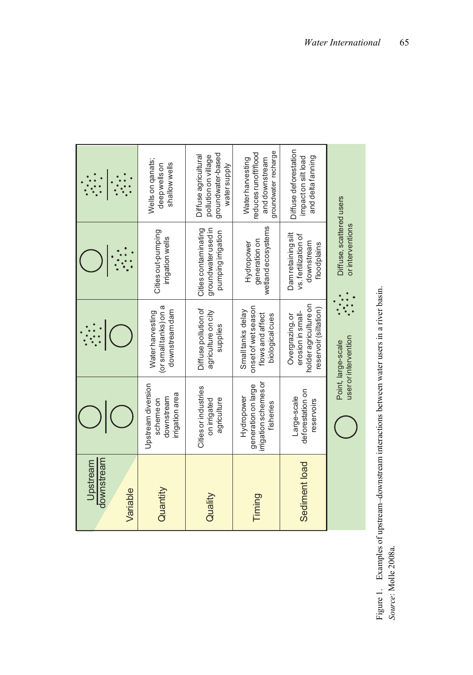| downstream<br>Upstream<br>Variable |                                                                         | $\ddot{\cdot}$<br>$\ddot{\cdot}$                                                       |                                                                         | $\ddot{\cdot}$<br>                                                                |
|------------------------------------|-------------------------------------------------------------------------|----------------------------------------------------------------------------------------|-------------------------------------------------------------------------|-----------------------------------------------------------------------------------|
| Quantity                           | Upstream diversion<br>irrigation area<br>downstream<br>schemeon         | (or small tanks) on a<br>downstreamdam<br>Waterharvesting                              | Cities out-pumping<br>irrigation wells                                  | Wells on qanats;<br>deep wells on<br>shallow wells                                |
| Quality                            | <b>Cities or industries</b><br>agriculture<br>on irrigated              | Diffuse pollution of<br>agriculture on city<br>supplies                                | groundwater used in<br>Cities contaminating<br>pumping irrigation       | groundwater-based<br>pollution on village<br>Diffuse agricultural<br>watersupply  |
| Timing                             | irrigation schemes or<br>generation on large<br>Hydropower<br>fisheries | onset of wet season<br>Smalltanks delay<br>flows and affect<br>biological cues         | wetland ecosystems<br>generation on<br>Hydropower                       | groundwater recharge<br>reduces runoff/flood<br>Waterharvesting<br>and downstream |
| Sediment load                      | deforestation on<br>Large-scale<br>reservoirs                           | holder agriculture on<br>reservoir (siltation)<br>erosion in small-<br>Overgrazing, or | Dam retaining silt<br>vs. fertilization of<br>downstream<br>floodplains | Diffuse deforestation<br>and delta fanning<br>impacton silt load                  |
|                                    |                                                                         | $\ddot{\cdot}$<br>useror intervention<br>Point, large-scale                            | Diffuse, scattered users<br>orinterventions                             |                                                                                   |

Figure 1. Examples of upstream-downstream interactions between water users in a river basin.<br>Source: Molle 2008a. Figure 1. Examples of upstream–downstream interactions between water users in a river basin. *Source*: Molle 2008a.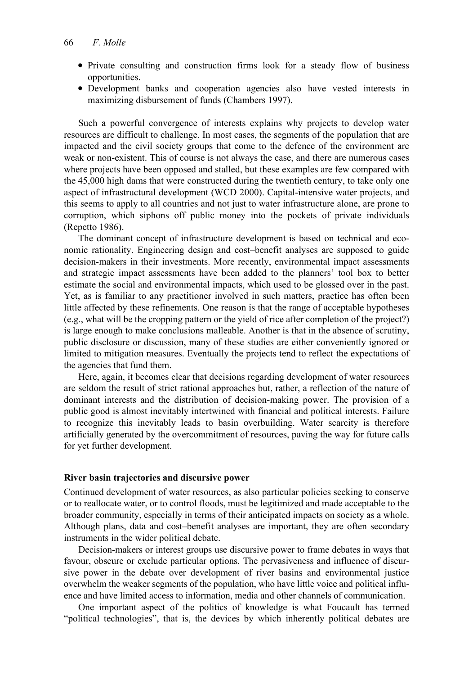- Private consulting and construction firms look for a steady flow of business opportunities.
- Development banks and cooperation agencies also have vested interests in maximizing disbursement of funds (Chambers 1997).

Such a powerful convergence of interests explains why projects to develop water resources are difficult to challenge. In most cases, the segments of the population that are impacted and the civil society groups that come to the defence of the environment are weak or non-existent. This of course is not always the case, and there are numerous cases where projects have been opposed and stalled, but these examples are few compared with the 45,000 high dams that were constructed during the twentieth century, to take only one aspect of infrastructural development (WCD 2000). Capital-intensive water projects, and this seems to apply to all countries and not just to water infrastructure alone, are prone to corruption, which siphons off public money into the pockets of private individuals (Repetto 1986).

The dominant concept of infrastructure development is based on technical and economic rationality. Engineering design and cost–benefit analyses are supposed to guide decision-makers in their investments. More recently, environmental impact assessments and strategic impact assessments have been added to the planners' tool box to better estimate the social and environmental impacts, which used to be glossed over in the past. Yet, as is familiar to any practitioner involved in such matters, practice has often been little affected by these refinements. One reason is that the range of acceptable hypotheses (e.g., what will be the cropping pattern or the yield of rice after completion of the project?) is large enough to make conclusions malleable. Another is that in the absence of scrutiny, public disclosure or discussion, many of these studies are either conveniently ignored or limited to mitigation measures. Eventually the projects tend to reflect the expectations of the agencies that fund them.

Here, again, it becomes clear that decisions regarding development of water resources are seldom the result of strict rational approaches but, rather, a reflection of the nature of dominant interests and the distribution of decision-making power. The provision of a public good is almost inevitably intertwined with financial and political interests. Failure to recognize this inevitably leads to basin overbuilding. Water scarcity is therefore artificially generated by the overcommitment of resources, paving the way for future calls for yet further development.

#### **River basin trajectories and discursive power**

Continued development of water resources, as also particular policies seeking to conserve or to reallocate water, or to control floods, must be legitimized and made acceptable to the broader community, especially in terms of their anticipated impacts on society as a whole. Although plans, data and cost–benefit analyses are important, they are often secondary instruments in the wider political debate.

Decision-makers or interest groups use discursive power to frame debates in ways that favour, obscure or exclude particular options. The pervasiveness and influence of discursive power in the debate over development of river basins and environmental justice overwhelm the weaker segments of the population, who have little voice and political influence and have limited access to information, media and other channels of communication.

One important aspect of the politics of knowledge is what Foucault has termed "political technologies", that is, the devices by which inherently political debates are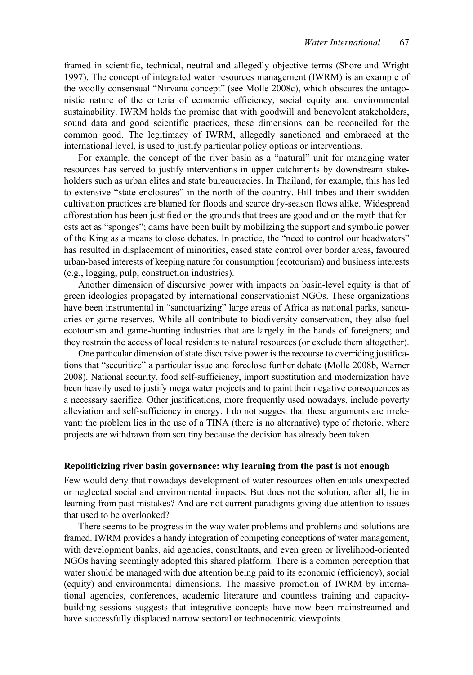framed in scientific, technical, neutral and allegedly objective terms (Shore and Wright 1997). The concept of integrated water resources management (IWRM) is an example of the woolly consensual "Nirvana concept" (see Molle 2008c), which obscures the antagonistic nature of the criteria of economic efficiency, social equity and environmental sustainability. IWRM holds the promise that with goodwill and benevolent stakeholders, sound data and good scientific practices, these dimensions can be reconciled for the common good. The legitimacy of IWRM, allegedly sanctioned and embraced at the international level, is used to justify particular policy options or interventions.

For example, the concept of the river basin as a "natural" unit for managing water resources has served to justify interventions in upper catchments by downstream stakeholders such as urban elites and state bureaucracies. In Thailand, for example, this has led to extensive "state enclosures" in the north of the country. Hill tribes and their swidden cultivation practices are blamed for floods and scarce dry-season flows alike. Widespread afforestation has been justified on the grounds that trees are good and on the myth that forests act as "sponges"; dams have been built by mobilizing the support and symbolic power of the King as a means to close debates. In practice, the "need to control our headwaters" has resulted in displacement of minorities, eased state control over border areas, favoured urban-based interests of keeping nature for consumption (ecotourism) and business interests (e.g., logging, pulp, construction industries).

Another dimension of discursive power with impacts on basin-level equity is that of green ideologies propagated by international conservationist NGOs. These organizations have been instrumental in "sanctuarizing" large areas of Africa as national parks, sanctuaries or game reserves. While all contribute to biodiversity conservation, they also fuel ecotourism and game-hunting industries that are largely in the hands of foreigners; and they restrain the access of local residents to natural resources (or exclude them altogether).

One particular dimension of state discursive power is the recourse to overriding justifications that "securitize" a particular issue and foreclose further debate (Molle 2008b, Warner 2008). National security, food self-sufficiency, import substitution and modernization have been heavily used to justify mega water projects and to paint their negative consequences as a necessary sacrifice. Other justifications, more frequently used nowadays, include poverty alleviation and self-sufficiency in energy. I do not suggest that these arguments are irrelevant: the problem lies in the use of a TINA (there is no alternative) type of rhetoric, where projects are withdrawn from scrutiny because the decision has already been taken.

#### **Repoliticizing river basin governance: why learning from the past is not enough**

Few would deny that nowadays development of water resources often entails unexpected or neglected social and environmental impacts. But does not the solution, after all, lie in learning from past mistakes? And are not current paradigms giving due attention to issues that used to be overlooked?

There seems to be progress in the way water problems and problems and solutions are framed. IWRM provides a handy integration of competing conceptions of water management, with development banks, aid agencies, consultants, and even green or livelihood-oriented NGOs having seemingly adopted this shared platform. There is a common perception that water should be managed with due attention being paid to its economic (efficiency), social (equity) and environmental dimensions. The massive promotion of IWRM by international agencies, conferences, academic literature and countless training and capacitybuilding sessions suggests that integrative concepts have now been mainstreamed and have successfully displaced narrow sectoral or technocentric viewpoints.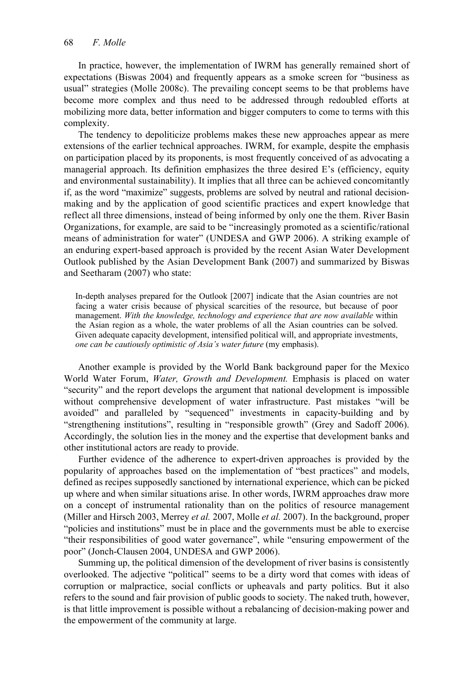In practice, however, the implementation of IWRM has generally remained short of expectations (Biswas 2004) and frequently appears as a smoke screen for "business as usual" strategies (Molle 2008c). The prevailing concept seems to be that problems have become more complex and thus need to be addressed through redoubled efforts at mobilizing more data, better information and bigger computers to come to terms with this complexity.

The tendency to depoliticize problems makes these new approaches appear as mere extensions of the earlier technical approaches. IWRM, for example, despite the emphasis on participation placed by its proponents, is most frequently conceived of as advocating a managerial approach. Its definition emphasizes the three desired E's (efficiency, equity and environmental sustainability). It implies that all three can be achieved concomitantly if, as the word "maximize" suggests, problems are solved by neutral and rational decisionmaking and by the application of good scientific practices and expert knowledge that reflect all three dimensions, instead of being informed by only one the them. River Basin Organizations, for example, are said to be "increasingly promoted as a scientific/rational means of administration for water" (UNDESA and GWP 2006). A striking example of an enduring expert-based approach is provided by the recent Asian Water Development Outlook published by the Asian Development Bank (2007) and summarized by Biswas and Seetharam (2007) who state:

In-depth analyses prepared for the Outlook [2007] indicate that the Asian countries are not facing a water crisis because of physical scarcities of the resource, but because of poor management. *With the knowledge, technology and experience that are now available* within the Asian region as a whole, the water problems of all the Asian countries can be solved. Given adequate capacity development, intensified political will, and appropriate investments, *one can be cautiously optimistic of Asia's water future* (my emphasis).

Another example is provided by the World Bank background paper for the Mexico World Water Forum, *Water, Growth and Development.* Emphasis is placed on water "security" and the report develops the argument that national development is impossible without comprehensive development of water infrastructure. Past mistakes "will be avoided" and paralleled by "sequenced" investments in capacity-building and by "strengthening institutions", resulting in "responsible growth" (Grey and Sadoff 2006). Accordingly, the solution lies in the money and the expertise that development banks and other institutional actors are ready to provide.

Further evidence of the adherence to expert-driven approaches is provided by the popularity of approaches based on the implementation of "best practices" and models, defined as recipes supposedly sanctioned by international experience, which can be picked up where and when similar situations arise. In other words, IWRM approaches draw more on a concept of instrumental rationality than on the politics of resource management (Miller and Hirsch 2003, Merrey *et al.* 2007, Molle *et al.* 2007). In the background, proper "policies and institutions" must be in place and the governments must be able to exercise "their responsibilities of good water governance", while "ensuring empowerment of the poor" (Jonch-Clausen 2004, UNDESA and GWP 2006).

Summing up, the political dimension of the development of river basins is consistently overlooked. The adjective "political" seems to be a dirty word that comes with ideas of corruption or malpractice, social conflicts or upheavals and party politics. But it also refers to the sound and fair provision of public goods to society. The naked truth, however, is that little improvement is possible without a rebalancing of decision-making power and the empowerment of the community at large.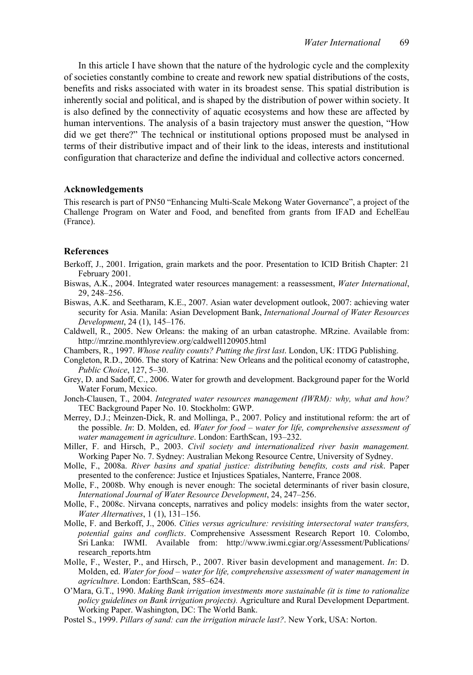In this article I have shown that the nature of the hydrologic cycle and the complexity of societies constantly combine to create and rework new spatial distributions of the costs, benefits and risks associated with water in its broadest sense. This spatial distribution is inherently social and political, and is shaped by the distribution of power within society. It is also defined by the connectivity of aquatic ecosystems and how these are affected by human interventions. The analysis of a basin trajectory must answer the question, "How did we get there?" The technical or institutional options proposed must be analysed in terms of their distributive impact and of their link to the ideas, interests and institutional configuration that characterize and define the individual and collective actors concerned.

#### **Acknowledgements**

This research is part of PN50 "Enhancing Multi-Scale Mekong Water Governance", a project of the Challenge Program on Water and Food, and benefited from grants from IFAD and EchelEau (France).

#### **References**

- Berkoff, J., 2001. Irrigation, grain markets and the poor. Presentation to ICID British Chapter: 21 February 2001.
- Biswas, A.K., 2004. Integrated water resources management: a reassessment, *Water International*, 29, 248–256.
- Biswas, A.K. and Seetharam, K.E., 2007. Asian water development outlook, 2007: achieving water security for Asia. Manila: Asian Development Bank, *International Journal of Water Resources Development*, 24 (1), 145–176.
- Caldwell, R., 2005. New Orleans: the making of an urban catastrophe. MRzine. Available from: http://mrzine.monthlyreview.org/caldwell120905.html
- Chambers, R., 1997. *Whose reality counts? Putting the first last*. London, UK: ITDG Publishing.
- Congleton, R.D., 2006. The story of Katrina: New Orleans and the political economy of catastrophe, *Public Choice*, 127, 5–30.
- Grey, D. and Sadoff, C., 2006. Water for growth and development. Background paper for the World Water Forum, Mexico.
- Jonch-Clausen, T., 2004. *Integrated water resources management (IWRM): why, what and how?* TEC Background Paper No. 10. Stockholm: GWP.
- Merrey, D.J.; Meinzen-Dick, R. and Mollinga, P., 2007. Policy and institutional reform: the art of the possible. *In*: D. Molden, ed. *Water for food – water for life, comprehensive assessment of water management in agriculture*. London: EarthScan, 193–232.
- Miller, F. and Hirsch, P., 2003. *Civil society and internationalized river basin management.* Working Paper No. 7. Sydney: Australian Mekong Resource Centre, University of Sydney.
- Molle, F., 2008a. *River basins and spatial justice: distributing benefits, costs and risk*. Paper presented to the conference: Justice et Injustices Spatiales, Nanterre, France 2008.
- Molle, F., 2008b. Why enough is never enough: The societal determinants of river basin closure, *International Journal of Water Resource Development*, 24, 247–256.
- Molle, F., 2008c. Nirvana concepts, narratives and policy models: insights from the water sector, *Water Alternatives*, 1 (1), 131–156.
- Molle, F. and Berkoff, J., 2006. *Cities versus agriculture: revisiting intersectoral water transfers, potential gains and conflicts*. Comprehensive Assessment Research Report 10. Colombo, Sri Lanka: IWMI. Available from: [http://www.iwmi.cgiar.org/Assessment/Publications/](http://www.iwmi.cgiar.org/Assessment/Publications/research_reports.htm) [research\\_reports.htm](http://www.iwmi.cgiar.org/Assessment/Publications/research_reports.htm)
- Molle, F., Wester, P., and Hirsch, P., 2007. River basin development and management. *In*: D. Molden, ed. *Water for food – water for life, comprehensive assessment of water management in agriculture*. London: EarthScan, 585–624.
- O'Mara, G.T., 1990. *Making Bank irrigation investments more sustainable (it is time to rationalize policy guidelines on Bank irrigation projects).* Agriculture and Rural Development Department. Working Paper. Washington, DC: The World Bank.
- Postel S., 1999. *Pillars of sand: can the irrigation miracle last?*. New York, USA: Norton.